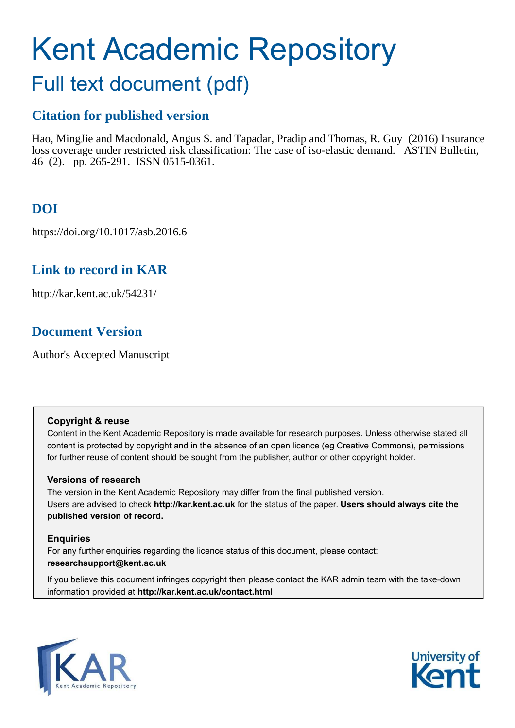# Kent Academic Repository

## Full text document (pdf)

## **Citation for published version**

Hao, MingJie and Macdonald, Angus S. and Tapadar, Pradip and Thomas, R. Guy (2016) Insurance loss coverage under restricted risk classification: The case of iso-elastic demand. ASTIN Bulletin, 46 (2). pp. 265-291. ISSN 0515-0361.

## **DOI**

https://doi.org/10.1017/asb.2016.6

## **Link to record in KAR**

http://kar.kent.ac.uk/54231/

## **Document Version**

Author's Accepted Manuscript

#### **Copyright & reuse**

Content in the Kent Academic Repository is made available for research purposes. Unless otherwise stated all content is protected by copyright and in the absence of an open licence (eg Creative Commons), permissions for further reuse of content should be sought from the publisher, author or other copyright holder.

#### **Versions of research**

The version in the Kent Academic Repository may differ from the final published version. Users are advised to check **http://kar.kent.ac.uk** for the status of the paper. **Users should always cite the published version of record.**

#### **Enquiries**

For any further enquiries regarding the licence status of this document, please contact: **researchsupport@kent.ac.uk**

If you believe this document infringes copyright then please contact the KAR admin team with the take-down information provided at **http://kar.kent.ac.uk/contact.html**



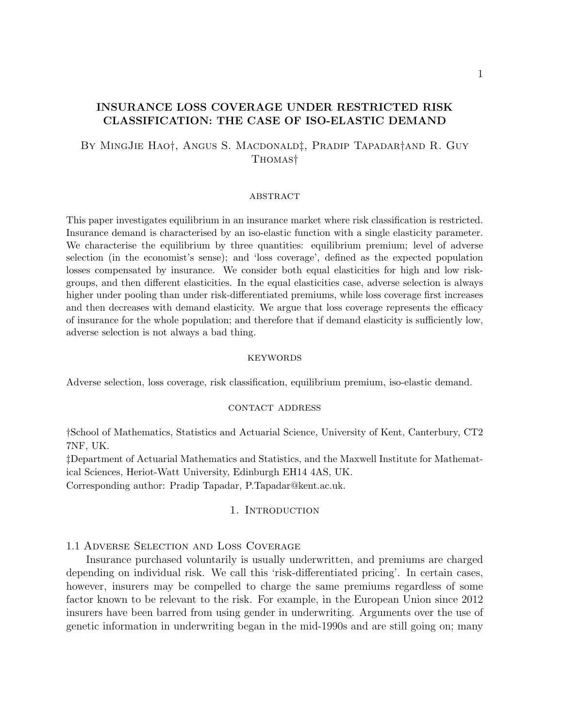#### INSURANCE LOSS COVERAGE UNDER RESTRICTED RISK CLASSIFICATION: THE CASE OF ISO-ELASTIC DEMAND

#### By MingJie Hao†, Angus S. Macdonald‡, Pradip Tapadar†and R. Guy Thomas†

#### **ABSTRACT**

This paper investigates equilibrium in an insurance market where risk classification is restricted. Insurance demand is characterised by an iso-elastic function with a single elasticity parameter. We characterise the equilibrium by three quantities: equilibrium premium; level of adverse selection (in the economist's sense); and 'loss coverage', defined as the expected population losses compensated by insurance. We consider both equal elasticities for high and low riskgroups, and then different elasticities. In the equal elasticities case, adverse selection is always higher under pooling than under risk-differentiated premiums, while loss coverage first increases and then decreases with demand elasticity. We argue that loss coverage represents the efficacy of insurance for the whole population; and therefore that if demand elasticity is sufficiently low, adverse selection is not always a bad thing.

#### **KEYWORDS**

Adverse selection, loss coverage, risk classification, equilibrium premium, iso-elastic demand.

#### contact address

†School of Mathematics, Statistics and Actuarial Science, University of Kent, Canterbury, CT2 7NF, UK.

‡Department of Actuarial Mathematics and Statistics, and the Maxwell Institute for Mathematical Sciences, Heriot-Watt University, Edinburgh EH14 4AS, UK. Corresponding author: Pradip Tapadar, P.Tapadar@kent.ac.uk.

#### 1. INTRODUCTION

#### 1.1 Adverse Selection and Loss Coverage

Insurance purchased voluntarily is usually underwritten, and premiums are charged depending on individual risk. We call this 'risk-differentiated pricing'. In certain cases, however, insurers may be compelled to charge the same premiums regardless of some factor known to be relevant to the risk. For example, in the European Union since 2012 insurers have been barred from using gender in underwriting. Arguments over the use of genetic information in underwriting began in the mid-1990s and are still going on; many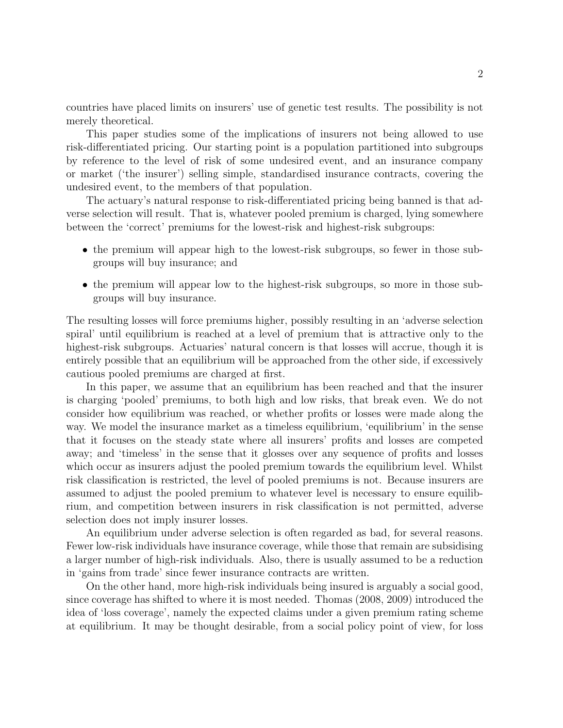countries have placed limits on insurers' use of genetic test results. The possibility is not merely theoretical.

This paper studies some of the implications of insurers not being allowed to use risk-differentiated pricing. Our starting point is a population partitioned into subgroups by reference to the level of risk of some undesired event, and an insurance company or market ('the insurer') selling simple, standardised insurance contracts, covering the undesired event, to the members of that population.

The actuary's natural response to risk-differentiated pricing being banned is that adverse selection will result. That is, whatever pooled premium is charged, lying somewhere between the 'correct' premiums for the lowest-risk and highest-risk subgroups:

- the premium will appear high to the lowest-risk subgroups, so fewer in those subgroups will buy insurance; and
- the premium will appear low to the highest-risk subgroups, so more in those subgroups will buy insurance.

The resulting losses will force premiums higher, possibly resulting in an 'adverse selection spiral' until equilibrium is reached at a level of premium that is attractive only to the highest-risk subgroups. Actuaries' natural concern is that losses will accrue, though it is entirely possible that an equilibrium will be approached from the other side, if excessively cautious pooled premiums are charged at first.

In this paper, we assume that an equilibrium has been reached and that the insurer is charging 'pooled' premiums, to both high and low risks, that break even. We do not consider how equilibrium was reached, or whether profits or losses were made along the way. We model the insurance market as a timeless equilibrium, 'equilibrium' in the sense that it focuses on the steady state where all insurers' profits and losses are competed away; and 'timeless' in the sense that it glosses over any sequence of profits and losses which occur as insurers adjust the pooled premium towards the equilibrium level. Whilst risk classification is restricted, the level of pooled premiums is not. Because insurers are assumed to adjust the pooled premium to whatever level is necessary to ensure equilibrium, and competition between insurers in risk classification is not permitted, adverse selection does not imply insurer losses.

An equilibrium under adverse selection is often regarded as bad, for several reasons. Fewer low-risk individuals have insurance coverage, while those that remain are subsidising a larger number of high-risk individuals. Also, there is usually assumed to be a reduction in 'gains from trade' since fewer insurance contracts are written.

On the other hand, more high-risk individuals being insured is arguably a social good, since coverage has shifted to where it is most needed. Thomas (2008, 2009) introduced the idea of 'loss coverage', namely the expected claims under a given premium rating scheme at equilibrium. It may be thought desirable, from a social policy point of view, for loss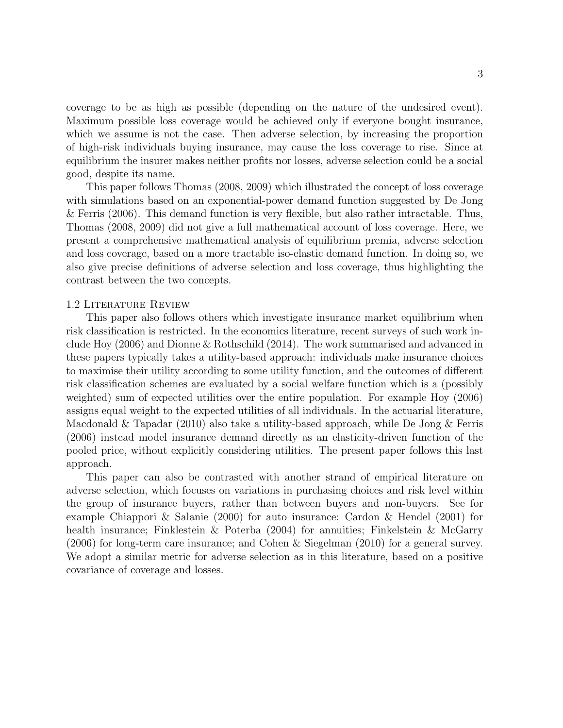coverage to be as high as possible (depending on the nature of the undesired event). Maximum possible loss coverage would be achieved only if everyone bought insurance, which we assume is not the case. Then adverse selection, by increasing the proportion of high-risk individuals buying insurance, may cause the loss coverage to rise. Since at equilibrium the insurer makes neither profits nor losses, adverse selection could be a social good, despite its name.

This paper follows Thomas (2008, 2009) which illustrated the concept of loss coverage with simulations based on an exponential-power demand function suggested by De Jong & Ferris (2006). This demand function is very flexible, but also rather intractable. Thus, Thomas (2008, 2009) did not give a full mathematical account of loss coverage. Here, we present a comprehensive mathematical analysis of equilibrium premia, adverse selection and loss coverage, based on a more tractable iso-elastic demand function. In doing so, we also give precise definitions of adverse selection and loss coverage, thus highlighting the contrast between the two concepts.

#### 1.2 Literature Review

This paper also follows others which investigate insurance market equilibrium when risk classification is restricted. In the economics literature, recent surveys of such work include Hoy (2006) and Dionne & Rothschild (2014). The work summarised and advanced in these papers typically takes a utility-based approach: individuals make insurance choices to maximise their utility according to some utility function, and the outcomes of different risk classification schemes are evaluated by a social welfare function which is a (possibly weighted) sum of expected utilities over the entire population. For example Hoy (2006) assigns equal weight to the expected utilities of all individuals. In the actuarial literature, Macdonald & Tapadar (2010) also take a utility-based approach, while De Jong & Ferris (2006) instead model insurance demand directly as an elasticity-driven function of the pooled price, without explicitly considering utilities. The present paper follows this last approach.

This paper can also be contrasted with another strand of empirical literature on adverse selection, which focuses on variations in purchasing choices and risk level within the group of insurance buyers, rather than between buyers and non-buyers. See for example Chiappori & Salanie (2000) for auto insurance; Cardon & Hendel (2001) for health insurance; Finklestein & Poterba (2004) for annuities; Finkelstein & McGarry (2006) for long-term care insurance; and Cohen & Siegelman (2010) for a general survey. We adopt a similar metric for adverse selection as in this literature, based on a positive covariance of coverage and losses.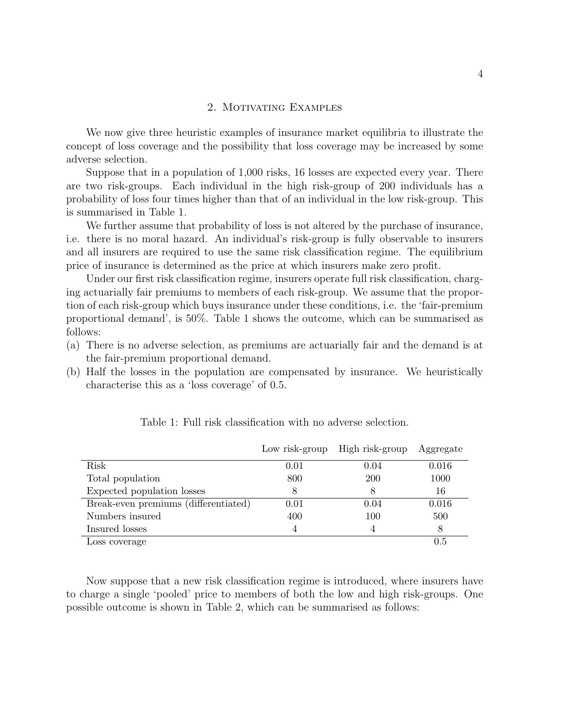#### 2. Motivating Examples

We now give three heuristic examples of insurance market equilibria to illustrate the concept of loss coverage and the possibility that loss coverage may be increased by some adverse selection.

Suppose that in a population of 1,000 risks, 16 losses are expected every year. There are two risk-groups. Each individual in the high risk-group of 200 individuals has a probability of loss four times higher than that of an individual in the low risk-group. This is summarised in Table 1.

We further assume that probability of loss is not altered by the purchase of insurance, i.e. there is no moral hazard. An individual's risk-group is fully observable to insurers and all insurers are required to use the same risk classification regime. The equilibrium price of insurance is determined as the price at which insurers make zero profit.

Under our first risk classification regime, insurers operate full risk classification, charging actuarially fair premiums to members of each risk-group. We assume that the proportion of each risk-group which buys insurance under these conditions, i.e. the 'fair-premium proportional demand', is 50%. Table 1 shows the outcome, which can be summarised as follows:

- (a) There is no adverse selection, as premiums are actuarially fair and the demand is at the fair-premium proportional demand.
- (b) Half the losses in the population are compensated by insurance. We heuristically characterise this as a 'loss coverage' of 0.5.

|                                      |      | Low risk-group High risk-group Aggregate |       |
|--------------------------------------|------|------------------------------------------|-------|
| Risk                                 | 0.01 | 0.04                                     | 0.016 |
| Total population                     | 800  | <b>200</b>                               | 1000  |
| Expected population losses           |      | 8                                        | 16    |
| Break-even premiums (differentiated) | 0.01 | 0.04                                     | 0.016 |
| Numbers insured                      | 400  | 100                                      | 500   |
| Insured losses                       | 4    | 4                                        | 8     |
| Loss coverage                        |      |                                          | 0.5   |

Table 1: Full risk classification with no adverse selection.

Now suppose that a new risk classification regime is introduced, where insurers have to charge a single 'pooled' price to members of both the low and high risk-groups. One possible outcome is shown in Table 2, which can be summarised as follows: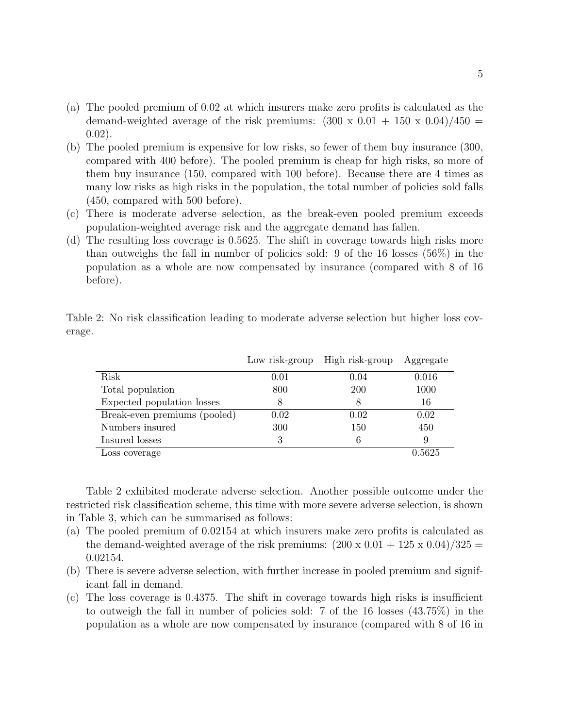- (a) The pooled premium of 0.02 at which insurers make zero profits is calculated as the demand-weighted average of the risk premiums:  $(300 \times 0.01 + 150 \times 0.04)/450 =$ 0.02).
- (b) The pooled premium is expensive for low risks, so fewer of them buy insurance (300, compared with 400 before). The pooled premium is cheap for high risks, so more of them buy insurance (150, compared with 100 before). Because there are 4 times as many low risks as high risks in the population, the total number of policies sold falls (450, compared with 500 before).
- (c) There is moderate adverse selection, as the break-even pooled premium exceeds population-weighted average risk and the aggregate demand has fallen.
- (d) The resulting loss coverage is 0.5625. The shift in coverage towards high risks more than outweighs the fall in number of policies sold: 9 of the 16 losses (56%) in the population as a whole are now compensated by insurance (compared with 8 of 16 before).

|                              |      | Low risk-group High risk-group | Aggregate |
|------------------------------|------|--------------------------------|-----------|
| Risk                         | 0.01 | 0.04                           | 0.016     |
| Total population             | 800  | <b>200</b>                     | 1000      |
| Expected population losses   | 8    |                                | 16        |
| Break-even premiums (pooled) | 0.02 | 0.02                           | 0.02      |
| Numbers insured              | 300  | 150                            | 450       |
| Insured losses               | 3    |                                | 9         |
| Loss coverage                |      |                                | 0.5625    |

Table 2: No risk classification leading to moderate adverse selection but higher loss coverage.

Table 2 exhibited moderate adverse selection. Another possible outcome under the restricted risk classification scheme, this time with more severe adverse selection, is shown in Table 3, which can be summarised as follows:

- (a) The pooled premium of 0.02154 at which insurers make zero profits is calculated as the demand-weighted average of the risk premiums:  $(200 \times 0.01 + 125 \times 0.04)/325 =$ 0.02154.
- (b) There is severe adverse selection, with further increase in pooled premium and significant fall in demand.
- (c) The loss coverage is 0.4375. The shift in coverage towards high risks is insufficient to outweigh the fall in number of policies sold: 7 of the 16 losses (43.75%) in the population as a whole are now compensated by insurance (compared with 8 of 16 in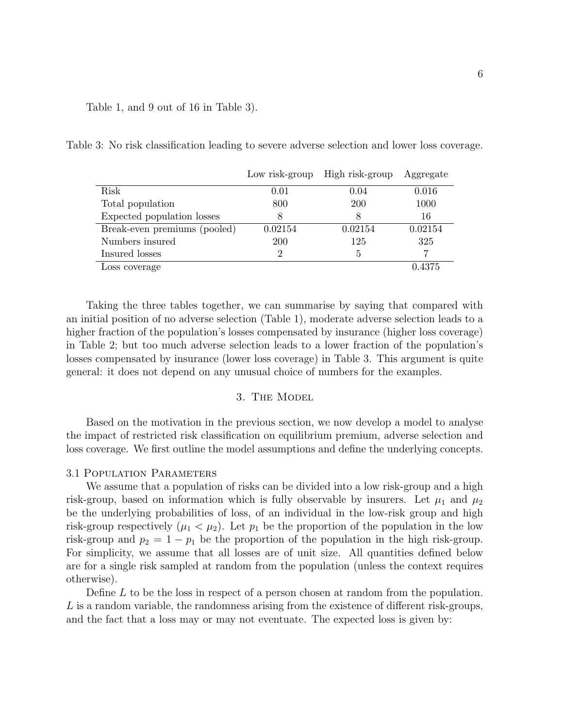Table 1, and 9 out of 16 in Table 3).

|                              |         | Low risk-group High risk-group | Aggregate |
|------------------------------|---------|--------------------------------|-----------|
| Risk                         | 0.01    | 0.04                           | 0.016     |
| Total population             | 800     | <b>200</b>                     | 1000      |
| Expected population losses   |         |                                | 16        |
| Break-even premiums (pooled) | 0.02154 | 0.02154                        | 0.02154   |
| Numbers insured              | 200     | 125                            | 325       |
| Insured losses               | 2       | 5                              |           |
| Loss coverage                |         |                                | 0.4375    |

Table 3: No risk classification leading to severe adverse selection and lower loss coverage.

Taking the three tables together, we can summarise by saying that compared with an initial position of no adverse selection (Table 1), moderate adverse selection leads to a higher fraction of the population's losses compensated by insurance (higher loss coverage) in Table 2; but too much adverse selection leads to a lower fraction of the population's losses compensated by insurance (lower loss coverage) in Table 3. This argument is quite general: it does not depend on any unusual choice of numbers for the examples.

#### 3. The Model

Based on the motivation in the previous section, we now develop a model to analyse the impact of restricted risk classification on equilibrium premium, adverse selection and loss coverage. We first outline the model assumptions and define the underlying concepts.

#### 3.1 Population Parameters

We assume that a population of risks can be divided into a low risk-group and a high risk-group, based on information which is fully observable by insurers. Let  $\mu_1$  and  $\mu_2$ be the underlying probabilities of loss, of an individual in the low-risk group and high risk-group respectively  $(\mu_1 < \mu_2)$ . Let  $p_1$  be the proportion of the population in the low risk-group and  $p_2 = 1 - p_1$  be the proportion of the population in the high risk-group. For simplicity, we assume that all losses are of unit size. All quantities defined below are for a single risk sampled at random from the population (unless the context requires otherwise).

Define L to be the loss in respect of a person chosen at random from the population. L is a random variable, the randomness arising from the existence of different risk-groups, and the fact that a loss may or may not eventuate. The expected loss is given by: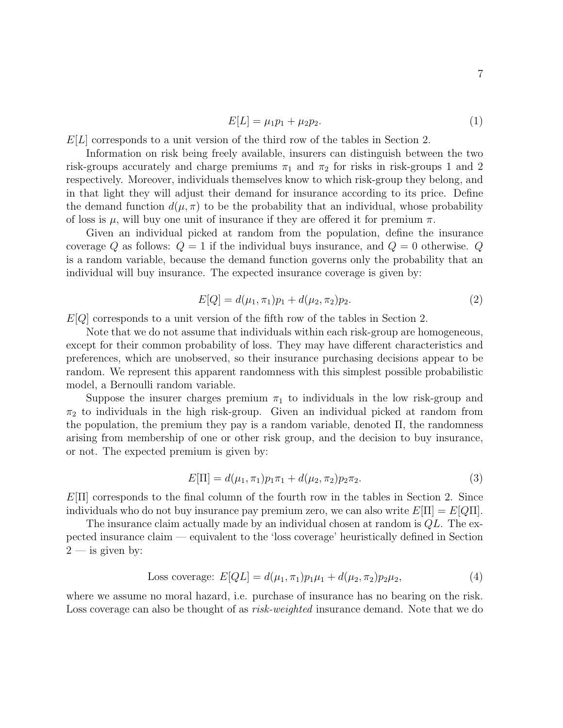$$
E[L] = \mu_1 p_1 + \mu_2 p_2. \tag{1}
$$

 $E[L]$  corresponds to a unit version of the third row of the tables in Section 2.

Information on risk being freely available, insurers can distinguish between the two risk-groups accurately and charge premiums  $\pi_1$  and  $\pi_2$  for risks in risk-groups 1 and 2 respectively. Moreover, individuals themselves know to which risk-group they belong, and in that light they will adjust their demand for insurance according to its price. Define the demand function  $d(\mu, \pi)$  to be the probability that an individual, whose probability of loss is  $\mu$ , will buy one unit of insurance if they are offered it for premium  $\pi$ .

Given an individual picked at random from the population, define the insurance coverage Q as follows:  $Q = 1$  if the individual buys insurance, and  $Q = 0$  otherwise. Q is a random variable, because the demand function governs only the probability that an individual will buy insurance. The expected insurance coverage is given by:

$$
E[Q] = d(\mu_1, \pi_1)p_1 + d(\mu_2, \pi_2)p_2.
$$
\n(2)

 $E[Q]$  corresponds to a unit version of the fifth row of the tables in Section 2.

Note that we do not assume that individuals within each risk-group are homogeneous, except for their common probability of loss. They may have different characteristics and preferences, which are unobserved, so their insurance purchasing decisions appear to be random. We represent this apparent randomness with this simplest possible probabilistic model, a Bernoulli random variable.

Suppose the insurer charges premium  $\pi_1$  to individuals in the low risk-group and  $\pi_2$  to individuals in the high risk-group. Given an individual picked at random from the population, the premium they pay is a random variable, denoted  $\Pi$ , the randomness arising from membership of one or other risk group, and the decision to buy insurance, or not. The expected premium is given by:

$$
E[\Pi] = d(\mu_1, \pi_1) p_1 \pi_1 + d(\mu_2, \pi_2) p_2 \pi_2.
$$
\n(3)

 $E[\Pi]$  corresponds to the final column of the fourth row in the tables in Section 2. Since individuals who do not buy insurance pay premium zero, we can also write  $E[\Pi] = E[Q\Pi]$ .

The insurance claim actually made by an individual chosen at random is  $QL$ . The expected insurance claim — equivalent to the 'loss coverage' heuristically defined in Section  $2 -$  is given by:

Loss coverage: 
$$
E[QL] = d(\mu_1, \pi_1)p_1\mu_1 + d(\mu_2, \pi_2)p_2\mu_2,
$$
 (4)

where we assume no moral hazard, i.e. purchase of insurance has no bearing on the risk. Loss coverage can also be thought of as *risk-weighted* insurance demand. Note that we do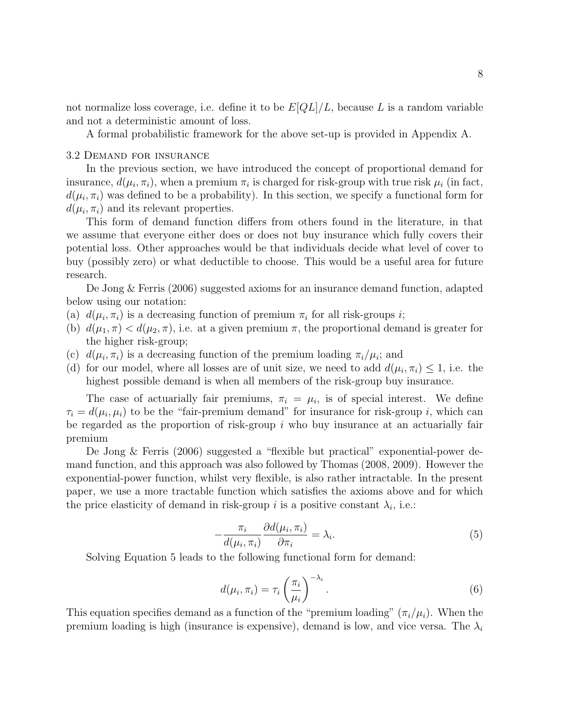not normalize loss coverage, i.e. define it to be  $E[QL]/L$ , because L is a random variable and not a deterministic amount of loss.

A formal probabilistic framework for the above set-up is provided in Appendix A.

#### 3.2 Demand for insurance

In the previous section, we have introduced the concept of proportional demand for insurance,  $d(\mu_i, \pi_i)$ , when a premium  $\pi_i$  is charged for risk-group with true risk  $\mu_i$  (in fact,  $d(\mu_i, \pi_i)$  was defined to be a probability). In this section, we specify a functional form for  $d(\mu_i, \pi_i)$  and its relevant properties.

This form of demand function differs from others found in the literature, in that we assume that everyone either does or does not buy insurance which fully covers their potential loss. Other approaches would be that individuals decide what level of cover to buy (possibly zero) or what deductible to choose. This would be a useful area for future research.

De Jong & Ferris (2006) suggested axioms for an insurance demand function, adapted below using our notation:

- (a)  $d(\mu_i, \pi_i)$  is a decreasing function of premium  $\pi_i$  for all risk-groups *i*;
- (b)  $d(\mu_1, \pi) < d(\mu_2, \pi)$ , i.e. at a given premium  $\pi$ , the proportional demand is greater for the higher risk-group;
- (c)  $d(\mu_i, \pi_i)$  is a decreasing function of the premium loading  $\pi_i/\mu_i$ ; and
- (d) for our model, where all losses are of unit size, we need to add  $d(\mu_i, \pi_i) \leq 1$ , i.e. the highest possible demand is when all members of the risk-group buy insurance.

The case of actuarially fair premiums,  $\pi_i = \mu_i$ , is of special interest. We define  $\tau_i = d(\mu_i, \mu_i)$  to be the "fair-premium demand" for insurance for risk-group i, which can be regarded as the proportion of risk-group  $i$  who buy insurance at an actuarially fair premium

De Jong & Ferris (2006) suggested a "flexible but practical" exponential-power demand function, and this approach was also followed by Thomas (2008, 2009). However the exponential-power function, whilst very flexible, is also rather intractable. In the present paper, we use a more tractable function which satisfies the axioms above and for which the price elasticity of demand in risk-group *i* is a positive constant  $\lambda_i$ , i.e.:

$$
-\frac{\pi_i}{d(\mu_i, \pi_i)} \frac{\partial d(\mu_i, \pi_i)}{\partial \pi_i} = \lambda_i.
$$
\n(5)

Solving Equation 5 leads to the following functional form for demand:

$$
d(\mu_i, \pi_i) = \tau_i \left(\frac{\pi_i}{\mu_i}\right)^{-\lambda_i}.
$$
\n(6)

This equation specifies demand as a function of the "premium loading"  $(\pi_i/\mu_i)$ . When the premium loading is high (insurance is expensive), demand is low, and vice versa. The  $\lambda_i$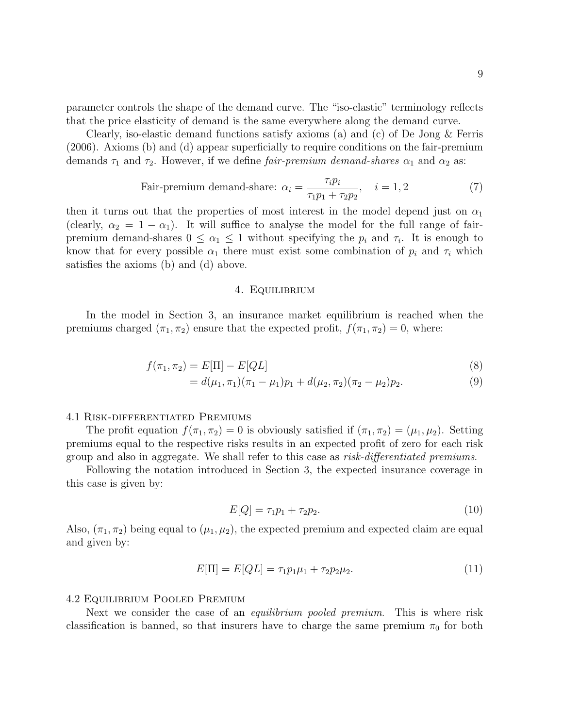parameter controls the shape of the demand curve. The "iso-elastic" terminology reflects that the price elasticity of demand is the same everywhere along the demand curve.

Clearly, iso-elastic demand functions satisfy axioms (a) and (c) of De Jong & Ferris (2006). Axioms (b) and (d) appear superficially to require conditions on the fair-premium demands  $\tau_1$  and  $\tau_2$ . However, if we define *fair-premium demand-shares*  $\alpha_1$  and  $\alpha_2$  as:

Fair-premium demand-share: 
$$
\alpha_i = \frac{\tau_i p_i}{\tau_1 p_1 + \tau_2 p_2}
$$
,  $i = 1, 2$  (7)

then it turns out that the properties of most interest in the model depend just on  $\alpha_1$ (clearly,  $\alpha_2 = 1 - \alpha_1$ ). It will suffice to analyse the model for the full range of fairpremium demand-shares  $0 \leq \alpha_1 \leq 1$  without specifying the  $p_i$  and  $\tau_i$ . It is enough to know that for every possible  $\alpha_1$  there must exist some combination of  $p_i$  and  $\tau_i$  which satisfies the axioms (b) and (d) above.

#### 4. Equilibrium

In the model in Section 3, an insurance market equilibrium is reached when the premiums charged  $(\pi_1, \pi_2)$  ensure that the expected profit,  $f(\pi_1, \pi_2) = 0$ , where:

$$
f(\pi_1, \pi_2) = E[\Pi] - E[QL] \tag{8}
$$

$$
= d(\mu_1, \pi_1)(\pi_1 - \mu_1)p_1 + d(\mu_2, \pi_2)(\pi_2 - \mu_2)p_2.
$$
\n(9)

#### 4.1 Risk-differentiated Premiums

The profit equation  $f(\pi_1, \pi_2) = 0$  is obviously satisfied if  $(\pi_1, \pi_2) = (\mu_1, \mu_2)$ . Setting premiums equal to the respective risks results in an expected profit of zero for each risk group and also in aggregate. We shall refer to this case as *risk-differentiated premiums*.

Following the notation introduced in Section 3, the expected insurance coverage in this case is given by:

$$
E[Q] = \tau_1 p_1 + \tau_2 p_2. \tag{10}
$$

Also,  $(\pi_1, \pi_2)$  being equal to  $(\mu_1, \mu_2)$ , the expected premium and expected claim are equal and given by:

$$
E[\Pi] = E[QL] = \tau_1 p_1 \mu_1 + \tau_2 p_2 \mu_2. \tag{11}
$$

#### 4.2 Equilibrium Pooled Premium

Next we consider the case of an *equilibrium pooled premium*. This is where risk classification is banned, so that insurers have to charge the same premium  $\pi_0$  for both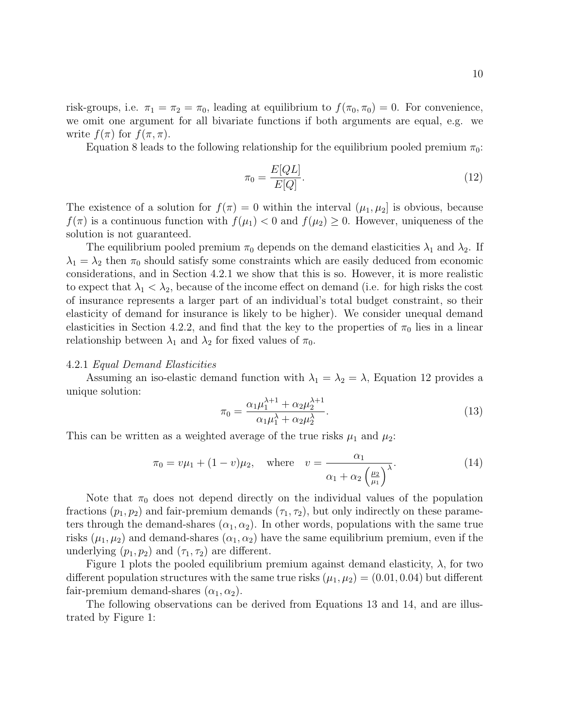risk-groups, i.e.  $\pi_1 = \pi_2 = \pi_0$ , leading at equilibrium to  $f(\pi_0, \pi_0) = 0$ . For convenience, we omit one argument for all bivariate functions if both arguments are equal, e.g. we write  $f(\pi)$  for  $f(\pi, \pi)$ .

Equation 8 leads to the following relationship for the equilibrium pooled premium  $\pi_0$ :

$$
\pi_0 = \frac{E[QL]}{E[Q]}.\tag{12}
$$

The existence of a solution for  $f(\pi) = 0$  within the interval  $(\mu_1, \mu_2]$  is obvious, because  $f(\pi)$  is a continuous function with  $f(\mu_1) < 0$  and  $f(\mu_2) \geq 0$ . However, uniqueness of the solution is not guaranteed.

The equilibrium pooled premium  $\pi_0$  depends on the demand elasticities  $\lambda_1$  and  $\lambda_2$ . If  $\lambda_1 = \lambda_2$  then  $\pi_0$  should satisfy some constraints which are easily deduced from economic considerations, and in Section 4.2.1 we show that this is so. However, it is more realistic to expect that  $\lambda_1 < \lambda_2$ , because of the income effect on demand (i.e. for high risks the cost of insurance represents a larger part of an individual's total budget constraint, so their elasticity of demand for insurance is likely to be higher). We consider unequal demand elasticities in Section 4.2.2, and find that the key to the properties of  $\pi_0$  lies in a linear relationship between  $\lambda_1$  and  $\lambda_2$  for fixed values of  $\pi_0$ .

#### 4.2.1 Equal Demand Elasticities

Assuming an iso-elastic demand function with  $\lambda_1 = \lambda_2 = \lambda$ , Equation 12 provides a unique solution:

$$
\pi_0 = \frac{\alpha_1 \mu_1^{\lambda+1} + \alpha_2 \mu_2^{\lambda+1}}{\alpha_1 \mu_1^{\lambda} + \alpha_2 \mu_2^{\lambda}}.
$$
\n(13)

This can be written as a weighted average of the true risks  $\mu_1$  and  $\mu_2$ :

$$
\pi_0 = v\mu_1 + (1 - v)\mu_2, \quad \text{where} \quad v = \frac{\alpha_1}{\alpha_1 + \alpha_2 \left(\frac{\mu_2}{\mu_1}\right)^{\lambda}}.\tag{14}
$$

Note that  $\pi_0$  does not depend directly on the individual values of the population fractions  $(p_1, p_2)$  and fair-premium demands  $(\tau_1, \tau_2)$ , but only indirectly on these parameters through the demand-shares  $(\alpha_1, \alpha_2)$ . In other words, populations with the same true risks  $(\mu_1, \mu_2)$  and demand-shares  $(\alpha_1, \alpha_2)$  have the same equilibrium premium, even if the underlying  $(p_1, p_2)$  and  $(\tau_1, \tau_2)$  are different.

Figure 1 plots the pooled equilibrium premium against demand elasticity,  $\lambda$ , for two different population structures with the same true risks  $(\mu_1, \mu_2) = (0.01, 0.04)$  but different fair-premium demand-shares  $(\alpha_1, \alpha_2)$ .

The following observations can be derived from Equations 13 and 14, and are illustrated by Figure 1: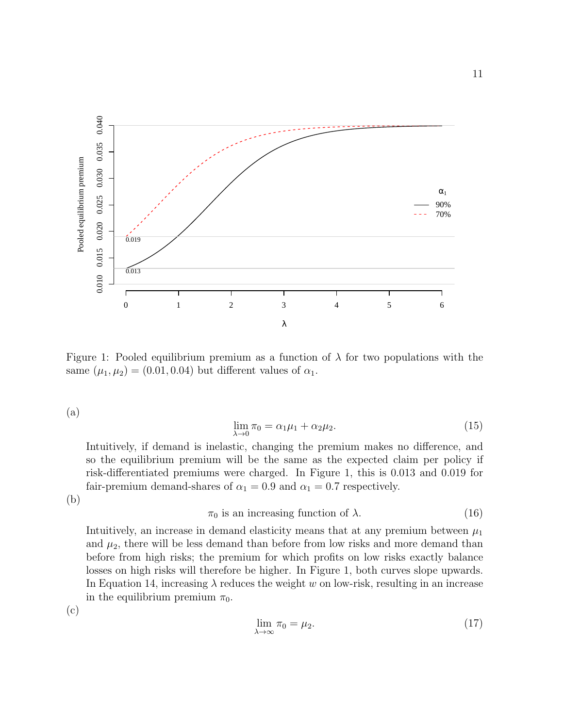

Figure 1: Pooled equilibrium premium as a function of  $\lambda$  for two populations with the same  $(\mu_1, \mu_2) = (0.01, 0.04)$  but different values of  $\alpha_1$ .

(a)

$$
\lim_{\lambda \to 0} \pi_0 = \alpha_1 \mu_1 + \alpha_2 \mu_2. \tag{15}
$$

Intuitively, if demand is inelastic, changing the premium makes no difference, and so the equilibrium premium will be the same as the expected claim per policy if risk-differentiated premiums were charged. In Figure 1, this is 0.013 and 0.019 for fair-premium demand-shares of  $\alpha_1 = 0.9$  and  $\alpha_1 = 0.7$  respectively.

(b)

$$
\pi_0 \text{ is an increasing function of } \lambda. \tag{16}
$$

Intuitively, an increase in demand elasticity means that at any premium between  $\mu_1$ and  $\mu_2$ , there will be less demand than before from low risks and more demand than before from high risks; the premium for which profits on low risks exactly balance losses on high risks will therefore be higher. In Figure 1, both curves slope upwards. In Equation 14, increasing  $\lambda$  reduces the weight w on low-risk, resulting in an increase in the equilibrium premium  $\pi_0$ .

(c)

$$
\lim_{\lambda \to \infty} \pi_0 = \mu_2. \tag{17}
$$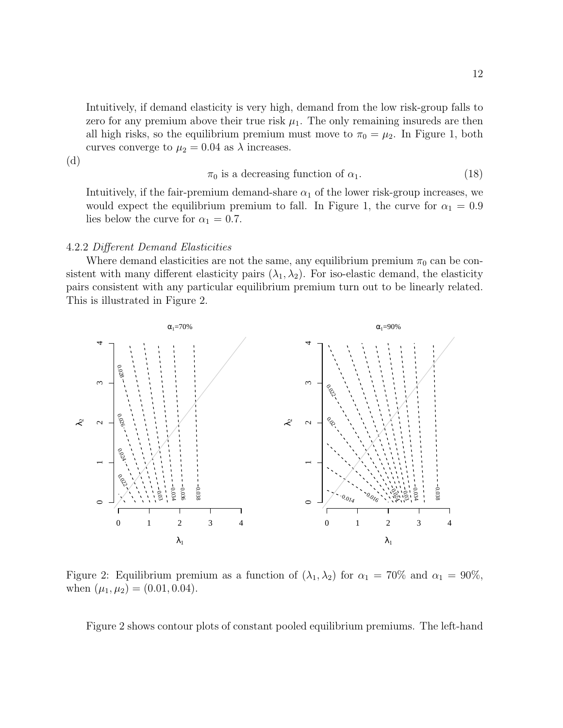Intuitively, if demand elasticity is very high, demand from the low risk-group falls to zero for any premium above their true risk  $\mu_1$ . The only remaining insureds are then all high risks, so the equilibrium premium must move to  $\pi_0 = \mu_2$ . In Figure 1, both curves converge to  $\mu_2 = 0.04$  as  $\lambda$  increases.

(d)

$$
\pi_0 \text{ is a decreasing function of } \alpha_1. \tag{18}
$$

Intuitively, if the fair-premium demand-share  $\alpha_1$  of the lower risk-group increases, we would expect the equilibrium premium to fall. In Figure 1, the curve for  $\alpha_1 = 0.9$ lies below the curve for  $\alpha_1 = 0.7$ .

#### 4.2.2 Different Demand Elasticities

Where demand elasticities are not the same, any equilibrium premium  $\pi_0$  can be consistent with many different elasticity pairs  $(\lambda_1, \lambda_2)$ . For iso-elastic demand, the elasticity pairs consistent with any particular equilibrium premium turn out to be linearly related. This is illustrated in Figure 2.



Figure 2: Equilibrium premium as a function of  $(\lambda_1, \lambda_2)$  for  $\alpha_1 = 70\%$  and  $\alpha_1 = 90\%$ , when  $(\mu_1, \mu_2) = (0.01, 0.04)$ .

Figure 2 shows contour plots of constant pooled equilibrium premiums. The left-hand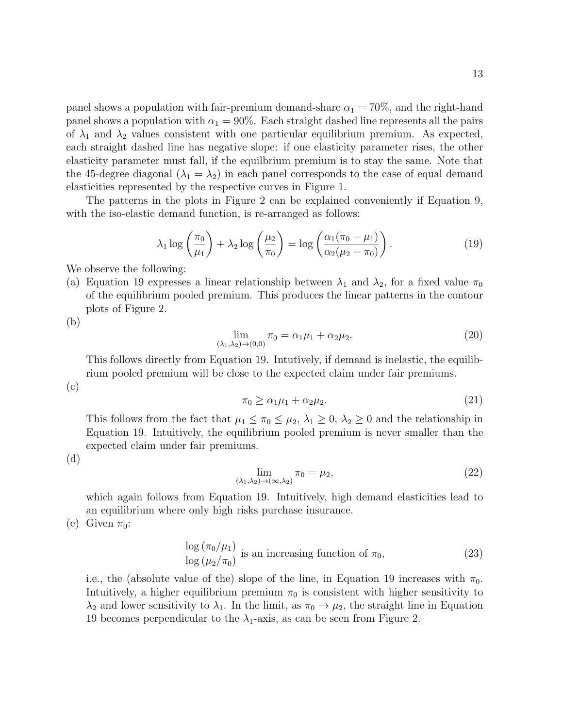panel shows a population with fair-premium demand-share  $\alpha_1 = 70\%$ , and the right-hand panel shows a population with  $\alpha_1 = 90\%$ . Each straight dashed line represents all the pairs of  $\lambda_1$  and  $\lambda_2$  values consistent with one particular equilibrium premium. As expected, each straight dashed line has negative slope: if one elasticity parameter rises, the other elasticity parameter must fall, if the equilbrium premium is to stay the same. Note that the 45-degree diagonal  $(\lambda_1 = \lambda_2)$  in each panel corresponds to the case of equal demand elasticities represented by the respective curves in Figure 1.

The patterns in the plots in Figure 2 can be explained conveniently if Equation 9, with the iso-elastic demand function, is re-arranged as follows:

$$
\lambda_1 \log \left( \frac{\pi_0}{\mu_1} \right) + \lambda_2 \log \left( \frac{\mu_2}{\pi_0} \right) = \log \left( \frac{\alpha_1 (\pi_0 - \mu_1)}{\alpha_2 (\mu_2 - \pi_0)} \right). \tag{19}
$$

We observe the following:

(a) Equation 19 expresses a linear relationship between  $\lambda_1$  and  $\lambda_2$ , for a fixed value  $\pi_0$ of the equilibrium pooled premium. This produces the linear patterns in the contour plots of Figure 2.

(b)

$$
\lim_{(\lambda_1,\lambda_2)\to(0,0)} \pi_0 = \alpha_1 \mu_1 + \alpha_2 \mu_2. \tag{20}
$$

This follows directly from Equation 19. Intutively, if demand is inelastic, the equilibrium pooled premium will be close to the expected claim under fair premiums.

(c)

$$
\pi_0 \ge \alpha_1 \mu_1 + \alpha_2 \mu_2. \tag{21}
$$

This follows from the fact that  $\mu_1 \leq \pi_0 \leq \mu_2$ ,  $\lambda_1 \geq 0$ ,  $\lambda_2 \geq 0$  and the relationship in Equation 19. Intuitively, the equilibrium pooled premium is never smaller than the expected claim under fair premiums.

(d)

$$
\lim_{(\lambda_1,\lambda_2)\to(\infty,\lambda_2)} \pi_0 = \mu_2,\tag{22}
$$

which again follows from Equation 19. Intuitively, high demand elasticities lead to an equilibrium where only high risks purchase insurance.

(e) Given  $\pi_0$ :

$$
\frac{\log\left(\pi_0/\mu_1\right)}{\log\left(\mu_2/\pi_0\right)}
$$
 is an increasing function of  $\pi_0$ , (23)

i.e., the (absolute value of the) slope of the line, in Equation 19 increases with  $\pi_0$ . Intuitively, a higher equilibrium premium  $\pi_0$  is consistent with higher sensitivity to  $\lambda_2$  and lower sensitivity to  $\lambda_1$ . In the limit, as  $\pi_0 \to \mu_2$ , the straight line in Equation 19 becomes perpendicular to the  $\lambda_1$ -axis, as can be seen from Figure 2.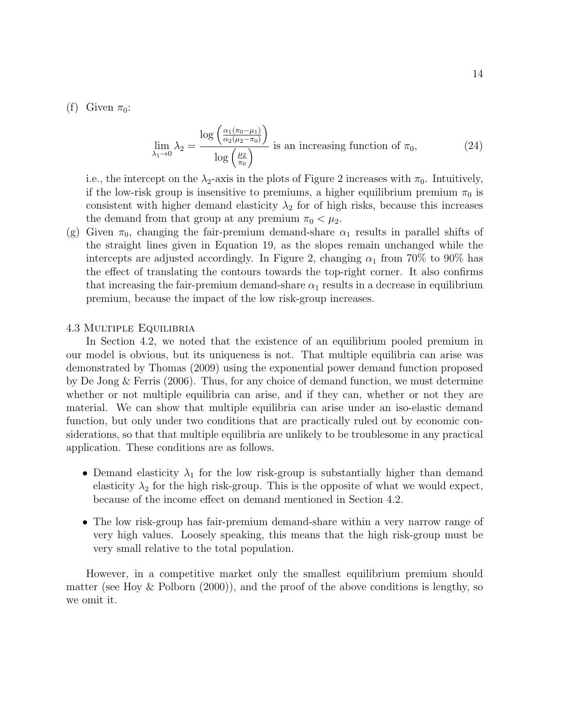(f) Given  $\pi_0$ :

$$
\lim_{\lambda_1 \to 0} \lambda_2 = \frac{\log \left( \frac{\alpha_1 (\pi_0 - \mu_1)}{\alpha_2 (\mu_2 - \pi_0)} \right)}{\log \left( \frac{\mu_2}{\pi_0} \right)} \text{ is an increasing function of } \pi_0,
$$
\n(24)

i.e., the intercept on the  $\lambda_2$ -axis in the plots of Figure 2 increases with  $\pi_0$ . Intuitively, if the low-risk group is insensitive to premiums, a higher equilibrium premium  $\pi_0$  is consistent with higher demand elasticity  $\lambda_2$  for of high risks, because this increases the demand from that group at any premium  $\pi_0 < \mu_2$ .

(g) Given  $\pi_0$ , changing the fair-premium demand-share  $\alpha_1$  results in parallel shifts of the straight lines given in Equation 19, as the slopes remain unchanged while the intercepts are adjusted accordingly. In Figure 2, changing  $\alpha_1$  from 70% to 90% has the effect of translating the contours towards the top-right corner. It also confirms that increasing the fair-premium demand-share  $\alpha_1$  results in a decrease in equilibrium premium, because the impact of the low risk-group increases.

#### 4.3 Multiple Equilibria

In Section 4.2, we noted that the existence of an equilibrium pooled premium in our model is obvious, but its uniqueness is not. That multiple equilibria can arise was demonstrated by Thomas (2009) using the exponential power demand function proposed by De Jong & Ferris (2006). Thus, for any choice of demand function, we must determine whether or not multiple equilibria can arise, and if they can, whether or not they are material. We can show that multiple equilibria can arise under an iso-elastic demand function, but only under two conditions that are practically ruled out by economic considerations, so that that multiple equilibria are unlikely to be troublesome in any practical application. These conditions are as follows.

- Demand elasticity  $\lambda_1$  for the low risk-group is substantially higher than demand elasticity  $\lambda_2$  for the high risk-group. This is the opposite of what we would expect, because of the income effect on demand mentioned in Section 4.2.
- The low risk-group has fair-premium demand-share within a very narrow range of very high values. Loosely speaking, this means that the high risk-group must be very small relative to the total population.

However, in a competitive market only the smallest equilibrium premium should matter (see Hoy  $\&$  Polborn (2000)), and the proof of the above conditions is lengthy, so we omit it.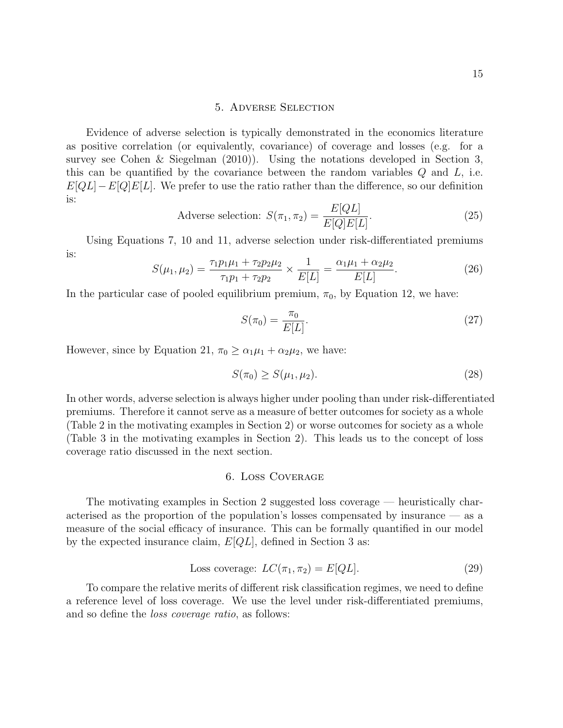#### 5. Adverse Selection

Evidence of adverse selection is typically demonstrated in the economics literature as positive correlation (or equivalently, covariance) of coverage and losses (e.g. for a survey see Cohen & Siegelman (2010)). Using the notations developed in Section 3, this can be quantified by the covariance between the random variables  $Q$  and  $L$ , i.e.  $E[QL]-E[Q]E[L]$ . We prefer to use the ratio rather than the difference, so our definition is:

Adverse selection: 
$$
S(\pi_1, \pi_2) = \frac{E[QL]}{E[Q]E[L]}.
$$
 (25)

Using Equations 7, 10 and 11, adverse selection under risk-differentiated premiums is:

$$
S(\mu_1, \mu_2) = \frac{\tau_1 p_1 \mu_1 + \tau_2 p_2 \mu_2}{\tau_1 p_1 + \tau_2 p_2} \times \frac{1}{E[L]} = \frac{\alpha_1 \mu_1 + \alpha_2 \mu_2}{E[L]}.
$$
 (26)

In the particular case of pooled equilibrium premium,  $\pi_0$ , by Equation 12, we have:

$$
S(\pi_0) = \frac{\pi_0}{E[L]}.
$$
\n(27)

However, since by Equation 21,  $\pi_0 \geq \alpha_1 \mu_1 + \alpha_2 \mu_2$ , we have:

$$
S(\pi_0) \ge S(\mu_1, \mu_2). \tag{28}
$$

In other words, adverse selection is always higher under pooling than under risk-differentiated premiums. Therefore it cannot serve as a measure of better outcomes for society as a whole (Table 2 in the motivating examples in Section 2) or worse outcomes for society as a whole (Table 3 in the motivating examples in Section 2). This leads us to the concept of loss coverage ratio discussed in the next section.

#### 6. Loss Coverage

The motivating examples in Section 2 suggested loss coverage — heuristically characterised as the proportion of the population's losses compensated by insurance — as a measure of the social efficacy of insurance. This can be formally quantified in our model by the expected insurance claim,  $E[QL]$ , defined in Section 3 as:

Loss coverage: 
$$
LC(\pi_1, \pi_2) = E[QL].
$$
 (29)

To compare the relative merits of different risk classification regimes, we need to define a reference level of loss coverage. We use the level under risk-differentiated premiums, and so define the *loss coverage ratio*, as follows: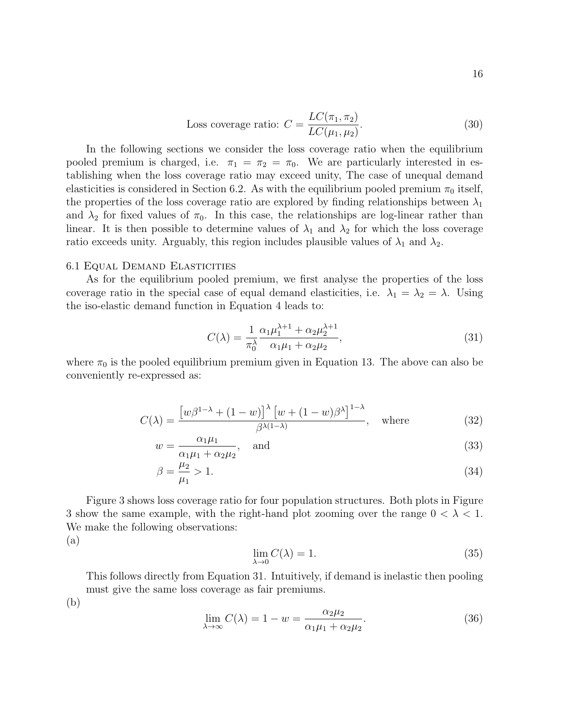Loss coverage ratio: 
$$
C = \frac{LC(\pi_1, \pi_2)}{LC(\mu_1, \mu_2)}.
$$
 (30)

In the following sections we consider the loss coverage ratio when the equilibrium pooled premium is charged, i.e.  $\pi_1 = \pi_2 = \pi_0$ . We are particularly interested in establishing when the loss coverage ratio may exceed unity, The case of unequal demand elasticities is considered in Section 6.2. As with the equilibrium pooled premium  $\pi_0$  itself, the properties of the loss coverage ratio are explored by finding relationships between  $\lambda_1$ and  $\lambda_2$  for fixed values of  $\pi_0$ . In this case, the relationships are log-linear rather than linear. It is then possible to determine values of  $\lambda_1$  and  $\lambda_2$  for which the loss coverage ratio exceeds unity. Arguably, this region includes plausible values of  $\lambda_1$  and  $\lambda_2$ .

#### 6.1 Equal Demand Elasticities

As for the equilibrium pooled premium, we first analyse the properties of the loss coverage ratio in the special case of equal demand elasticities, i.e.  $\lambda_1 = \lambda_2 = \lambda$ . Using the iso-elastic demand function in Equation 4 leads to:

$$
C(\lambda) = \frac{1}{\pi_0^{\lambda}} \frac{\alpha_1 \mu_1^{\lambda+1} + \alpha_2 \mu_2^{\lambda+1}}{\alpha_1 \mu_1 + \alpha_2 \mu_2},
$$
\n(31)

where  $\pi_0$  is the pooled equilibrium premium given in Equation 13. The above can also be conveniently re-expressed as:

$$
C(\lambda) = \frac{\left[w\beta^{1-\lambda} + (1-w)\right]^{\lambda} \left[w + (1-w)\beta^{\lambda}\right]^{1-\lambda}}{\beta^{\lambda(1-\lambda)}}, \quad \text{where}
$$
 (32)

$$
w = \frac{\alpha_1 \mu_1}{\alpha_1 \mu_1 + \alpha_2 \mu_2}, \quad \text{and} \tag{33}
$$

$$
\beta = \frac{\mu_2}{\mu_1} > 1. \tag{34}
$$

Figure 3 shows loss coverage ratio for four population structures. Both plots in Figure 3 show the same example, with the right-hand plot zooming over the range  $0 < \lambda < 1$ . We make the following observations:

$$
\rm (a)
$$

$$
\lim_{\lambda \to 0} C(\lambda) = 1. \tag{35}
$$

This follows directly from Equation 31. Intuitively, if demand is inelastic then pooling must give the same loss coverage as fair premiums.

(b)

$$
\lim_{\lambda \to \infty} C(\lambda) = 1 - w = \frac{\alpha_2 \mu_2}{\alpha_1 \mu_1 + \alpha_2 \mu_2}.
$$
\n(36)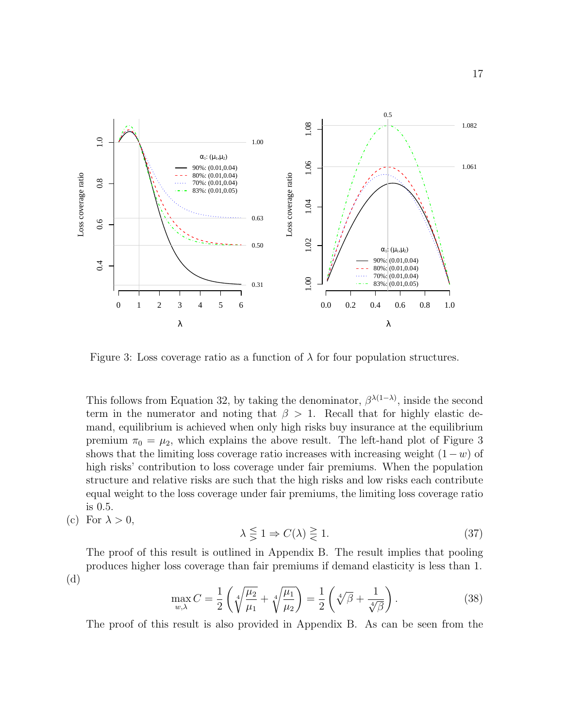

Figure 3: Loss coverage ratio as a function of  $\lambda$  for four population structures.

This follows from Equation 32, by taking the denominator,  $\beta^{\lambda(1-\lambda)}$ , inside the second term in the numerator and noting that  $\beta > 1$ . Recall that for highly elastic demand, equilibrium is achieved when only high risks buy insurance at the equilibrium premium  $\pi_0 = \mu_2$ , which explains the above result. The left-hand plot of Figure 3 shows that the limiting loss coverage ratio increases with increasing weight  $(1-w)$  of high risks' contribution to loss coverage under fair premiums. When the population structure and relative risks are such that the high risks and low risks each contribute equal weight to the loss coverage under fair premiums, the limiting loss coverage ratio is 0.5.

(c) For 
$$
\lambda > 0
$$
,

$$
\lambda \leq 1 \Rightarrow C(\lambda) \geq 1. \tag{37}
$$

The proof of this result is outlined in Appendix B. The result implies that pooling produces higher loss coverage than fair premiums if demand elasticity is less than 1. (d)

$$
\max_{w,\lambda} C = \frac{1}{2} \left( \sqrt[4]{\frac{\mu_2}{\mu_1}} + \sqrt[4]{\frac{\mu_1}{\mu_2}} \right) = \frac{1}{2} \left( \sqrt[4]{\beta} + \frac{1}{\sqrt[4]{\beta}} \right). \tag{38}
$$

The proof of this result is also provided in Appendix B. As can be seen from the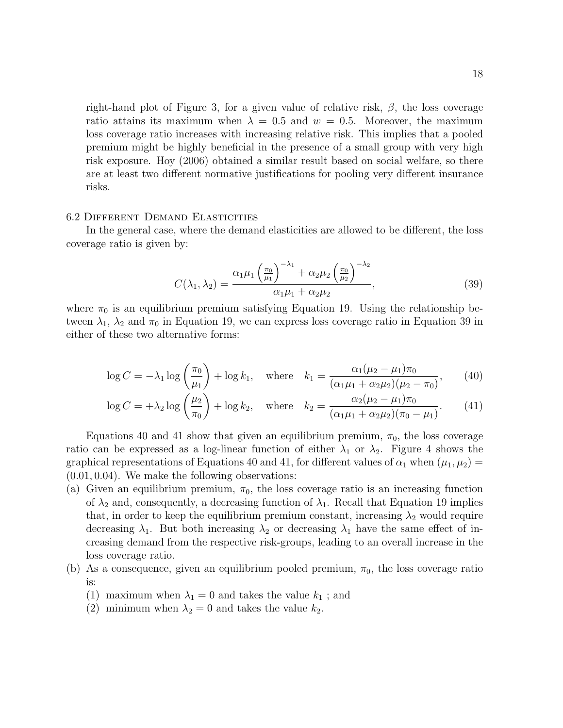right-hand plot of Figure 3, for a given value of relative risk,  $\beta$ , the loss coverage ratio attains its maximum when  $\lambda = 0.5$  and  $w = 0.5$ . Moreover, the maximum loss coverage ratio increases with increasing relative risk. This implies that a pooled premium might be highly beneficial in the presence of a small group with very high risk exposure. Hoy (2006) obtained a similar result based on social welfare, so there are at least two different normative justifications for pooling very different insurance risks.

#### 6.2 Different Demand Elasticities

In the general case, where the demand elasticities are allowed to be different, the loss coverage ratio is given by:

$$
C(\lambda_1, \lambda_2) = \frac{\alpha_1 \mu_1 \left(\frac{\pi_0}{\mu_1}\right)^{-\lambda_1} + \alpha_2 \mu_2 \left(\frac{\pi_0}{\mu_2}\right)^{-\lambda_2}}{\alpha_1 \mu_1 + \alpha_2 \mu_2},
$$
(39)

where  $\pi_0$  is an equilibrium premium satisfying Equation 19. Using the relationship between  $\lambda_1$ ,  $\lambda_2$  and  $\pi_0$  in Equation 19, we can express loss coverage ratio in Equation 39 in either of these two alternative forms:

$$
\log C = -\lambda_1 \log \left( \frac{\pi_0}{\mu_1} \right) + \log k_1, \quad \text{where} \quad k_1 = \frac{\alpha_1 (\mu_2 - \mu_1) \pi_0}{(\alpha_1 \mu_1 + \alpha_2 \mu_2)(\mu_2 - \pi_0)}, \tag{40}
$$

$$
\log C = +\lambda_2 \log \left(\frac{\mu_2}{\pi_0}\right) + \log k_2, \quad \text{where} \quad k_2 = \frac{\alpha_2(\mu_2 - \mu_1)\pi_0}{(\alpha_1\mu_1 + \alpha_2\mu_2)(\pi_0 - \mu_1)}.\tag{41}
$$

Equations 40 and 41 show that given an equilibrium premium,  $\pi_0$ , the loss coverage ratio can be expressed as a log-linear function of either  $\lambda_1$  or  $\lambda_2$ . Figure 4 shows the graphical representations of Equations 40 and 41, for different values of  $\alpha_1$  when  $(\mu_1, \mu_2)$  = (0.01, 0.04). We make the following observations:

- (a) Given an equilibrium premium,  $\pi_0$ , the loss coverage ratio is an increasing function of  $\lambda_2$  and, consequently, a decreasing function of  $\lambda_1$ . Recall that Equation 19 implies that, in order to keep the equilibrium premium constant, increasing  $\lambda_2$  would require decreasing  $\lambda_1$ . But both increasing  $\lambda_2$  or decreasing  $\lambda_1$  have the same effect of increasing demand from the respective risk-groups, leading to an overall increase in the loss coverage ratio.
- (b) As a consequence, given an equilibrium pooled premium,  $\pi_0$ , the loss coverage ratio is:
	- (1) maximum when  $\lambda_1 = 0$  and takes the value  $k_1$ ; and
	- (2) minimum when  $\lambda_2 = 0$  and takes the value  $k_2$ .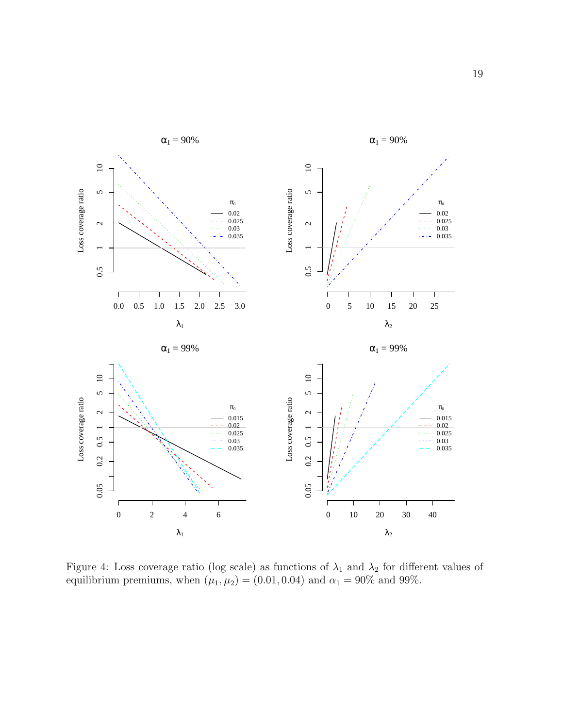

Figure 4: Loss coverage ratio (log scale) as functions of  $\lambda_1$  and  $\lambda_2$  for different values of equilibrium premiums, when  $(\mu_1, \mu_2) = (0.01, 0.04)$  and  $\alpha_1 = 90\%$  and 99%.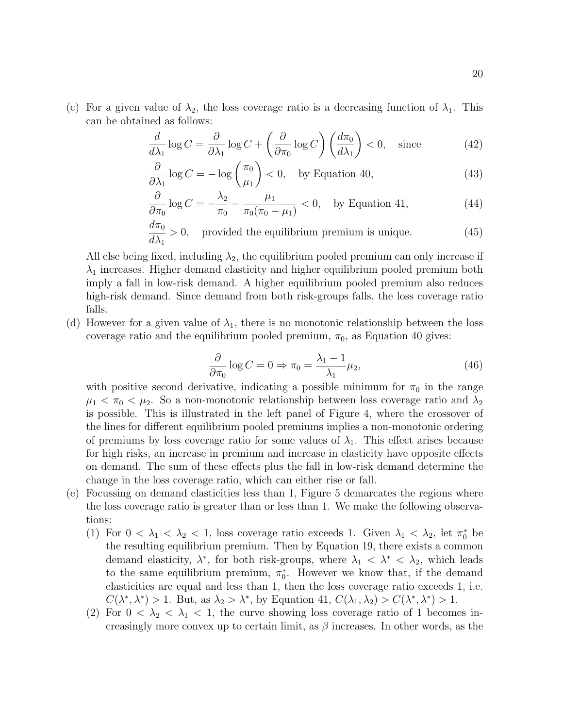(c) For a given value of  $\lambda_2$ , the loss coverage ratio is a decreasing function of  $\lambda_1$ . This can be obtained as follows:

$$
\frac{d}{d\lambda_1} \log C = \frac{\partial}{\partial \lambda_1} \log C + \left(\frac{\partial}{\partial \pi_0} \log C\right) \left(\frac{d\pi_0}{d\lambda_1}\right) < 0, \quad \text{since} \tag{42}
$$

$$
\frac{\partial}{\partial \lambda_1} \log C = -\log \left( \frac{\pi_0}{\mu_1} \right) < 0, \quad \text{by Equation 40,} \tag{43}
$$

$$
\frac{\partial}{\partial \pi_0} \log C = -\frac{\lambda_2}{\pi_0} - \frac{\mu_1}{\pi_0(\pi_0 - \mu_1)} < 0, \quad \text{by Equation 41,}
$$
\n
$$
\tag{44}
$$

$$
\frac{d\pi_0}{d\lambda_1} > 0, \quad \text{provided the equilibrium premium is unique.} \tag{45}
$$

All else being fixed, including  $\lambda_2$ , the equilibrium pooled premium can only increase if  $\lambda_1$  increases. Higher demand elasticity and higher equilibrium pooled premium both imply a fall in low-risk demand. A higher equilibrium pooled premium also reduces high-risk demand. Since demand from both risk-groups falls, the loss coverage ratio falls.

(d) However for a given value of  $\lambda_1$ , there is no monotonic relationship between the loss coverage ratio and the equilibrium pooled premium,  $\pi_0$ , as Equation 40 gives:

$$
\frac{\partial}{\partial \pi_0} \log C = 0 \Rightarrow \pi_0 = \frac{\lambda_1 - 1}{\lambda_1} \mu_2,\tag{46}
$$

with positive second derivative, indicating a possible minimum for  $\pi_0$  in the range  $\mu_1 < \pi_0 < \mu_2$ . So a non-monotonic relationship between loss coverage ratio and  $\lambda_2$ is possible. This is illustrated in the left panel of Figure 4, where the crossover of the lines for different equilibrium pooled premiums implies a non-monotonic ordering of premiums by loss coverage ratio for some values of  $\lambda_1$ . This effect arises because for high risks, an increase in premium and increase in elasticity have opposite effects on demand. The sum of these effects plus the fall in low-risk demand determine the change in the loss coverage ratio, which can either rise or fall.

- (e) Focussing on demand elasticities less than 1, Figure 5 demarcates the regions where the loss coverage ratio is greater than or less than 1. We make the following observations:
	- (1) For  $0 < \lambda_1 < \lambda_2 < 1$ , loss coverage ratio exceeds 1. Given  $\lambda_1 < \lambda_2$ , let  $\pi_0^*$  be the resulting equilibrium premium. Then by Equation 19, there exists a common demand elasticity,  $\lambda^*$ , for both risk-groups, where  $\lambda_1 < \lambda^* < \lambda_2$ , which leads to the same equilibrium premium,  $\pi_0^*$ . However we know that, if the demand elasticities are equal and less than 1, then the loss coverage ratio exceeds 1, i.e.  $C(\lambda^*, \lambda^*) > 1$ . But, as  $\lambda_2 > \lambda^*$ , by Equation 41,  $C(\lambda_1, \lambda_2) > C(\lambda^*, \lambda^*) > 1$ .
	- (2) For  $0 < \lambda_2 < \lambda_1 < 1$ , the curve showing loss coverage ratio of 1 becomes increasingly more convex up to certain limit, as  $\beta$  increases. In other words, as the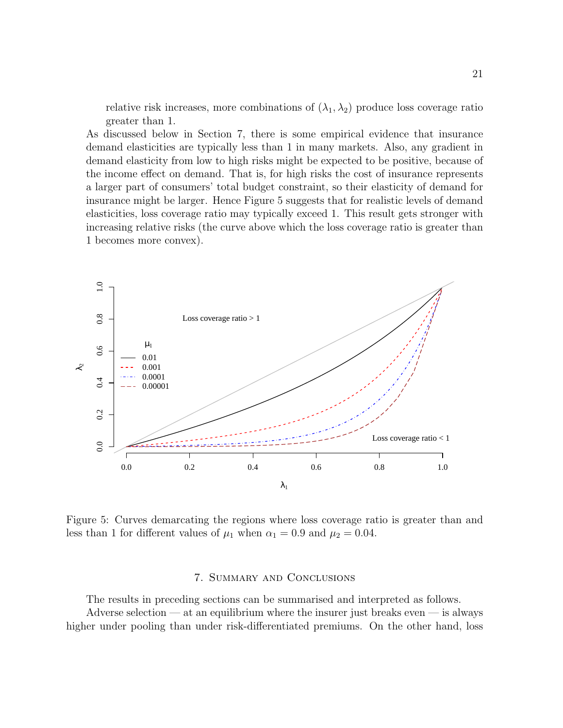relative risk increases, more combinations of  $(\lambda_1, \lambda_2)$  produce loss coverage ratio greater than 1.

As discussed below in Section 7, there is some empirical evidence that insurance demand elasticities are typically less than 1 in many markets. Also, any gradient in demand elasticity from low to high risks might be expected to be positive, because of the income effect on demand. That is, for high risks the cost of insurance represents a larger part of consumers' total budget constraint, so their elasticity of demand for insurance might be larger. Hence Figure 5 suggests that for realistic levels of demand elasticities, loss coverage ratio may typically exceed 1. This result gets stronger with increasing relative risks (the curve above which the loss coverage ratio is greater than 1 becomes more convex).



Figure 5: Curves demarcating the regions where loss coverage ratio is greater than and less than 1 for different values of  $\mu_1$  when  $\alpha_1 = 0.9$  and  $\mu_2 = 0.04$ .

#### 7. Summary and Conclusions

The results in preceding sections can be summarised and interpreted as follows. Adverse selection — at an equilibrium where the insurer just breaks even — is always higher under pooling than under risk-differentiated premiums. On the other hand, loss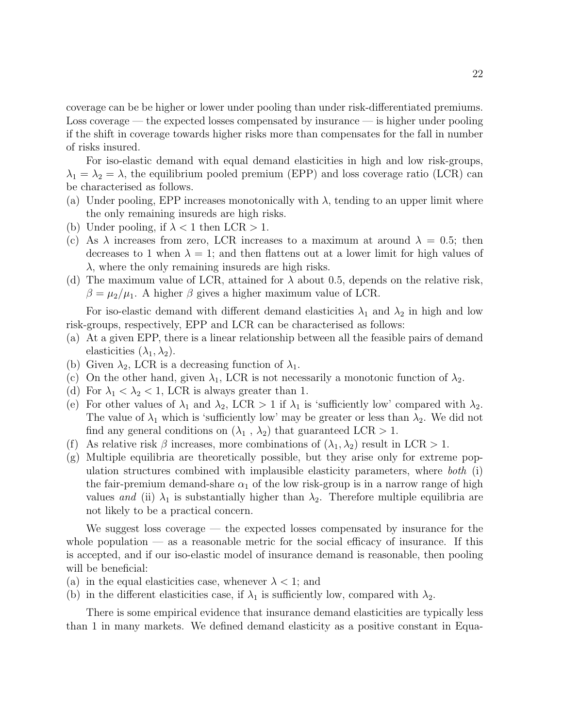coverage can be be higher or lower under pooling than under risk-differentiated premiums. Loss coverage — the expected losses compensated by insurance — is higher under pooling if the shift in coverage towards higher risks more than compensates for the fall in number of risks insured.

For iso-elastic demand with equal demand elasticities in high and low risk-groups,  $\lambda_1 = \lambda_2 = \lambda$ , the equilibrium pooled premium (EPP) and loss coverage ratio (LCR) can be characterised as follows.

- (a) Under pooling, EPP increases monotonically with  $\lambda$ , tending to an upper limit where the only remaining insureds are high risks.
- (b) Under pooling, if  $\lambda < 1$  then LCR  $> 1$ .
- (c) As  $\lambda$  increases from zero, LCR increases to a maximum at around  $\lambda = 0.5$ ; then decreases to 1 when  $\lambda = 1$ ; and then flattens out at a lower limit for high values of  $\lambda$ , where the only remaining insureds are high risks.
- (d) The maximum value of LCR, attained for  $\lambda$  about 0.5, depends on the relative risk,  $\beta = \mu_2/\mu_1$ . A higher  $\beta$  gives a higher maximum value of LCR.

For iso-elastic demand with different demand elasticities  $\lambda_1$  and  $\lambda_2$  in high and low risk-groups, respectively, EPP and LCR can be characterised as follows:

- (a) At a given EPP, there is a linear relationship between all the feasible pairs of demand elasticities  $(\lambda_1, \lambda_2)$ .
- (b) Given  $\lambda_2$ , LCR is a decreasing function of  $\lambda_1$ .
- (c) On the other hand, given  $\lambda_1$ , LCR is not necessarily a monotonic function of  $\lambda_2$ .
- (d) For  $\lambda_1 < \lambda_2 < 1$ , LCR is always greater than 1.
- (e) For other values of  $\lambda_1$  and  $\lambda_2$ , LCR  $> 1$  if  $\lambda_1$  is 'sufficiently low' compared with  $\lambda_2$ . The value of  $\lambda_1$  which is 'sufficiently low' may be greater or less than  $\lambda_2$ . We did not find any general conditions on  $(\lambda_1, \lambda_2)$  that guaranteed LCR  $> 1$ .
- (f) As relative risk  $\beta$  increases, more combinations of  $(\lambda_1, \lambda_2)$  result in LCR  $> 1$ .
- (g) Multiple equilibria are theoretically possible, but they arise only for extreme population structures combined with implausible elasticity parameters, where  $both$  (i) the fair-premium demand-share  $\alpha_1$  of the low risk-group is in a narrow range of high values and (ii)  $\lambda_1$  is substantially higher than  $\lambda_2$ . Therefore multiple equilibria are not likely to be a practical concern.

We suggest loss coverage — the expected losses compensated by insurance for the whole population  $\sim$  as a reasonable metric for the social efficacy of insurance. If this is accepted, and if our iso-elastic model of insurance demand is reasonable, then pooling will be beneficial:

- (a) in the equal elasticities case, whenever  $\lambda < 1$ ; and
- (b) in the different elasticities case, if  $\lambda_1$  is sufficiently low, compared with  $\lambda_2$ .

There is some empirical evidence that insurance demand elasticities are typically less than 1 in many markets. We defined demand elasticity as a positive constant in Equa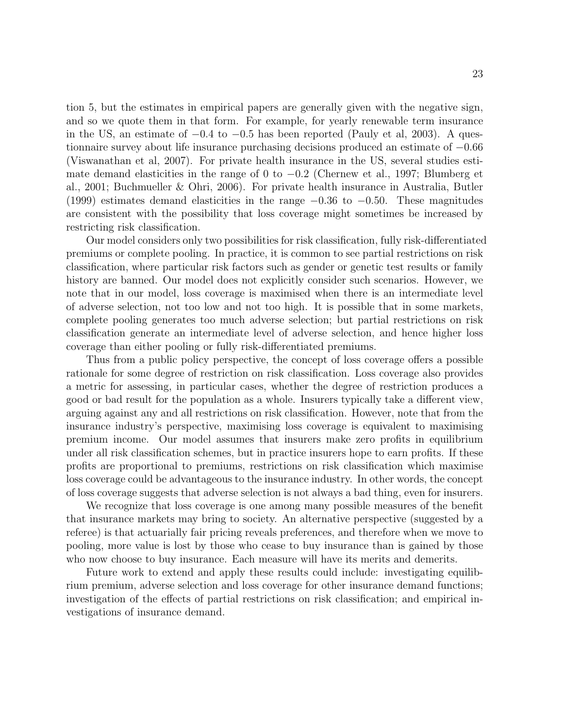tion 5, but the estimates in empirical papers are generally given with the negative sign, and so we quote them in that form. For example, for yearly renewable term insurance in the US, an estimate of  $-0.4$  to  $-0.5$  has been reported (Pauly et al, 2003). A questionnaire survey about life insurance purchasing decisions produced an estimate of −0.66 (Viswanathan et al, 2007). For private health insurance in the US, several studies estimate demand elasticities in the range of 0 to  $-0.2$  (Chernew et al., 1997; Blumberg et al., 2001; Buchmueller & Ohri, 2006). For private health insurance in Australia, Butler (1999) estimates demand elasticities in the range  $-0.36$  to  $-0.50$ . These magnitudes are consistent with the possibility that loss coverage might sometimes be increased by restricting risk classification.

Our model considers only two possibilities for risk classification, fully risk-differentiated premiums or complete pooling. In practice, it is common to see partial restrictions on risk classification, where particular risk factors such as gender or genetic test results or family history are banned. Our model does not explicitly consider such scenarios. However, we note that in our model, loss coverage is maximised when there is an intermediate level of adverse selection, not too low and not too high. It is possible that in some markets, complete pooling generates too much adverse selection; but partial restrictions on risk classification generate an intermediate level of adverse selection, and hence higher loss coverage than either pooling or fully risk-differentiated premiums.

Thus from a public policy perspective, the concept of loss coverage offers a possible rationale for some degree of restriction on risk classification. Loss coverage also provides a metric for assessing, in particular cases, whether the degree of restriction produces a good or bad result for the population as a whole. Insurers typically take a different view, arguing against any and all restrictions on risk classification. However, note that from the insurance industry's perspective, maximising loss coverage is equivalent to maximising premium income. Our model assumes that insurers make zero profits in equilibrium under all risk classification schemes, but in practice insurers hope to earn profits. If these profits are proportional to premiums, restrictions on risk classification which maximise loss coverage could be advantageous to the insurance industry. In other words, the concept of loss coverage suggests that adverse selection is not always a bad thing, even for insurers.

We recognize that loss coverage is one among many possible measures of the benefit that insurance markets may bring to society. An alternative perspective (suggested by a referee) is that actuarially fair pricing reveals preferences, and therefore when we move to pooling, more value is lost by those who cease to buy insurance than is gained by those who now choose to buy insurance. Each measure will have its merits and demerits.

Future work to extend and apply these results could include: investigating equilibrium premium, adverse selection and loss coverage for other insurance demand functions; investigation of the effects of partial restrictions on risk classification; and empirical investigations of insurance demand.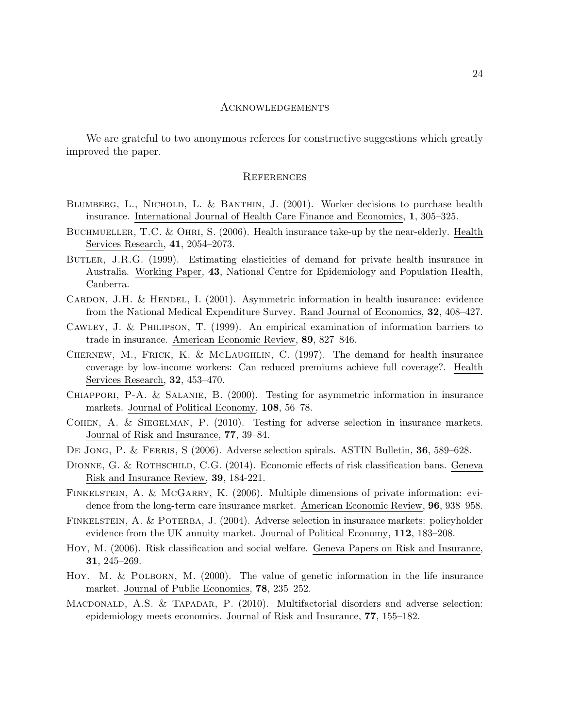#### Acknowledgements

We are grateful to two anonymous referees for constructive suggestions which greatly improved the paper.

#### **REFERENCES**

- BLUMBERG, L., NICHOLD, L. & BANTHIN, J. (2001). Worker decisions to purchase health insurance. International Journal of Health Care Finance and Economics, 1, 305–325.
- BUCHMUELLER, T.C. & OHRI, S. (2006). Health insurance take-up by the near-elderly. Health Services Research, 41, 2054–2073.
- BUTLER, J.R.G. (1999). Estimating elasticities of demand for private health insurance in Australia. Working Paper, 43, National Centre for Epidemiology and Population Health, Canberra.
- CARDON, J.H. & HENDEL, I.  $(2001)$ . Asymmetric information in health insurance: evidence from the National Medical Expenditure Survey. Rand Journal of Economics, 32, 408–427.
- Cawley, J. & Philipson, T. (1999). An empirical examination of information barriers to trade in insurance. American Economic Review, 89, 827–846.
- Chernew, M., Frick, K. & McLaughlin, C. (1997). The demand for health insurance coverage by low-income workers: Can reduced premiums achieve full coverage?. Health Services Research, 32, 453–470.
- Chiappori, P-A. & Salanie, B. (2000). Testing for asymmetric information in insurance markets. Journal of Political Economy, 108, 56–78.
- COHEN, A. & SIEGELMAN, P. (2010). Testing for adverse selection in insurance markets. Journal of Risk and Insurance, 77, 39–84.
- DE JONG, P. & FERRIS, S (2006). Adverse selection spirals. ASTIN Bulletin, 36, 589–628.
- Dionne, G. & Rothschild, C.G. (2014). Economic effects of risk classification bans. Geneva Risk and Insurance Review, 39, 184-221.
- FINKELSTEIN, A. & MCGARRY, K. (2006). Multiple dimensions of private information: evidence from the long-term care insurance market. American Economic Review, 96, 938–958.
- FINKELSTEIN, A. & POTERBA, J. (2004). Adverse selection in insurance markets: policyholder evidence from the UK annuity market. Journal of Political Economy, 112, 183–208.
- Hoy, M. (2006). Risk classification and social welfare. Geneva Papers on Risk and Insurance, 31, 245–269.
- Hoy. M. & Polborn, M. (2000). The value of genetic information in the life insurance market. Journal of Public Economics, 78, 235–252.
- MACDONALD, A.S.  $&$  TAPADAR, P. (2010). Multifactorial disorders and adverse selection: epidemiology meets economics. Journal of Risk and Insurance, 77, 155–182.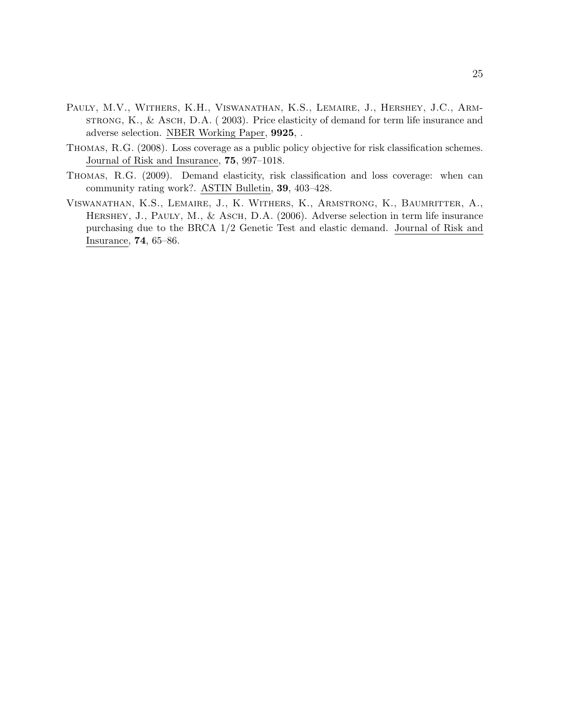- Pauly, M.V., Withers, K.H., Viswanathan, K.S., Lemaire, J., Hershey, J.C., Armstrong, K., & Asch, D.A.  $(2003)$ . Price elasticity of demand for term life insurance and adverse selection. NBER Working Paper, 9925, .
- Thomas, R.G. (2008). Loss coverage as a public policy objective for risk classification schemes. Journal of Risk and Insurance, 75, 997–1018.
- Thomas, R.G. (2009). Demand elasticity, risk classification and loss coverage: when can community rating work?. ASTIN Bulletin, 39, 403–428.
- Viswanathan, K.S., Lemaire, J., K. Withers, K., Armstrong, K., Baumritter, A., HERSHEY, J., PAULY, M., & ASCH, D.A. (2006). Adverse selection in term life insurance purchasing due to the BRCA 1/2 Genetic Test and elastic demand. Journal of Risk and Insurance, 74, 65–86.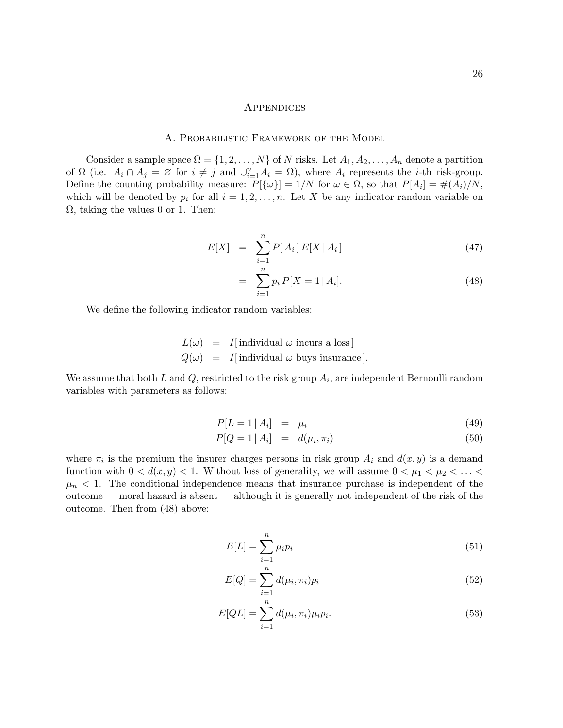#### **APPENDICES**

#### A. Probabilistic Framework of the Model

Consider a sample space  $\Omega = \{1, 2, ..., N\}$  of N risks. Let  $A_1, A_2, ..., A_n$  denote a partition of  $\Omega$  (i.e.  $A_i \cap A_j = \emptyset$  for  $i \neq j$  and  $\cup_{i=1}^n A_i = \Omega$ ), where  $A_i$  represents the *i*-th risk-group. Define the counting probability measure:  $P[\{\omega\}] = 1/N$  for  $\omega \in \Omega$ , so that  $P[A_i] = \#(A_i)/N$ , which will be denoted by  $p_i$  for all  $i = 1, 2, ..., n$ . Let X be any indicator random variable on  $\Omega$ , taking the values 0 or 1. Then:

$$
E[X] = \sum_{i=1}^{n} P[A_i] E[X | A_i]
$$
 (47)

$$
= \sum_{i=1}^{n} p_i P[X = 1 | A_i]. \tag{48}
$$

We define the following indicator random variables:

$$
L(\omega) = I[\text{individual }\omega \text{ incurs a loss}]
$$
  

$$
Q(\omega) = I[\text{individual }\omega \text{ buys insurance}].
$$

We assume that both  $L$  and  $Q$ , restricted to the risk group  $A_i$ , are independent Bernoulli random variables with parameters as follows:

$$
P[L=1|A_i] = \mu_i \tag{49}
$$

$$
P[Q = 1 | A_i] = d(\mu_i, \pi_i) \tag{50}
$$

where  $\pi_i$  is the premium the insurer charges persons in risk group  $A_i$  and  $d(x, y)$  is a demand function with  $0 < d(x, y) < 1$ . Without loss of generality, we will assume  $0 < \mu_1 < \mu_2 < \ldots <$  $\mu_n < 1$ . The conditional independence means that insurance purchase is independent of the outcome — moral hazard is absent — although it is generally not independent of the risk of the outcome. Then from (48) above:

$$
E[L] = \sum_{i=1}^{n} \mu_i p_i \tag{51}
$$

$$
E[Q] = \sum_{i=1}^{n} d(\mu_i, \pi_i) p_i
$$
\n(52)

$$
E[QL] = \sum_{i=1}^{n} d(\mu_i, \pi_i) \mu_i p_i.
$$
 (53)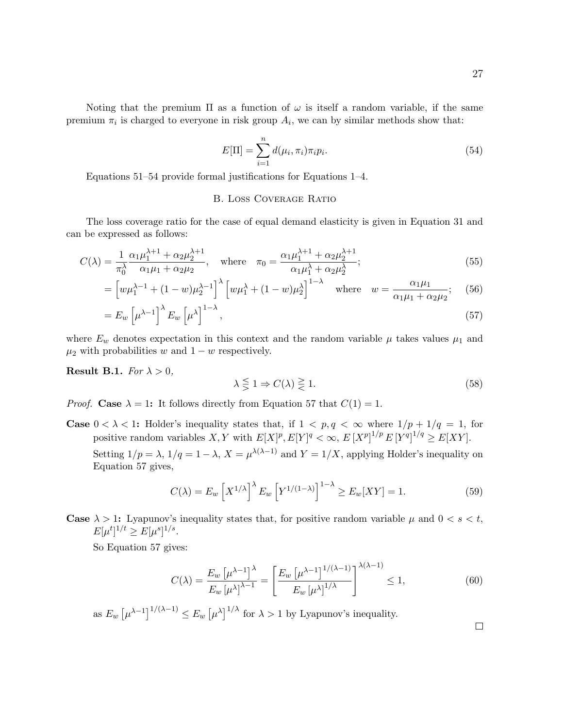Noting that the premium  $\Pi$  as a function of  $\omega$  is itself a random variable, if the same premium  $\pi_i$  is charged to everyone in risk group  $A_i$ , we can by similar methods show that:

$$
E[\Pi] = \sum_{i=1}^{n} d(\mu_i, \pi_i) \pi_i p_i.
$$
\n(54)

Equations 51–54 provide formal justifications for Equations 1–4.

#### B. Loss Coverage Ratio

The loss coverage ratio for the case of equal demand elasticity is given in Equation 31 and can be expressed as follows:

$$
C(\lambda) = \frac{1}{\pi_0^{\lambda}} \frac{\alpha_1 \mu_1^{\lambda+1} + \alpha_2 \mu_2^{\lambda+1}}{\alpha_1 \mu_1 + \alpha_2 \mu_2}, \quad \text{where} \quad \pi_0 = \frac{\alpha_1 \mu_1^{\lambda+1} + \alpha_2 \mu_2^{\lambda+1}}{\alpha_1 \mu_1^{\lambda} + \alpha_2 \mu_2^{\lambda}};
$$
\n
$$
(55)
$$

$$
= \left[w\mu_1^{\lambda-1} + (1-w)\mu_2^{\lambda-1}\right]^\lambda \left[w\mu_1^{\lambda} + (1-w)\mu_2^{\lambda}\right]^{1-\lambda} \quad \text{where} \quad w = \frac{\alpha_1\mu_1}{\alpha_1\mu_1 + \alpha_2\mu_2};\tag{56}
$$

$$
=E_w\left[\mu^{\lambda-1}\right]^{\lambda}E_w\left[\mu^{\lambda}\right]^{1-\lambda},\tag{57}
$$

where  $E_w$  denotes expectation in this context and the random variable  $\mu$  takes values  $\mu_1$  and  $\mu_2$  with probabilities w and  $1 - w$  respectively.

**Result B.1.** For  $\lambda > 0$ ,

$$
\lambda \leq 1 \Rightarrow C(\lambda) \geq 1. \tag{58}
$$

*Proof.* Case  $\lambda = 1$ : It follows directly from Equation 57 that  $C(1) = 1$ .

**Case**  $0 < \lambda < 1$ : Holder's inequality states that, if  $1 < p, q < \infty$  where  $1/p + 1/q = 1$ , for positive random variables  $X, Y$  with  $E[X]^p, E[Y]^q < \infty$ ,  $E[X^p]^{1/p} E[Y^q]^{1/q} \ge E[XY]$ . Setting  $1/p = \lambda$ ,  $1/q = 1 - \lambda$ ,  $X = \mu^{\lambda(\lambda - 1)}$  and  $Y = 1/X$ , applying Holder's inequality on Equation 57 gives,

$$
C(\lambda) = E_w \left[ X^{1/\lambda} \right]^{\lambda} E_w \left[ Y^{1/(1-\lambda)} \right]^{1-\lambda} \ge E_w [XY] = 1. \tag{59}
$$

**Case**  $\lambda > 1$ : Lyapunov's inequality states that, for positive random variable  $\mu$  and  $0 < s < t$ ,  $E[\mu^t]^{1/t} \ge E[\mu^s]^{1/s}.$ 

So Equation 57 gives:

$$
C(\lambda) = \frac{E_w \left[ \mu^{\lambda - 1} \right]^{\lambda}}{E_w \left[ \mu^{\lambda} \right]^{\lambda - 1}} = \left[ \frac{E_w \left[ \mu^{\lambda - 1} \right]^{1/(\lambda - 1)}}{E_w \left[ \mu^{\lambda} \right]^{1/\lambda}} \right]^{\lambda(\lambda - 1)} \le 1,
$$
\n(60)

as  $E_w \left[ \mu^{\lambda-1} \right]^{1/(\lambda-1)} \le E_w \left[ \mu^{\lambda} \right]^{1/\lambda}$  for  $\lambda > 1$  by Lyapunov's inequality.

 $\Box$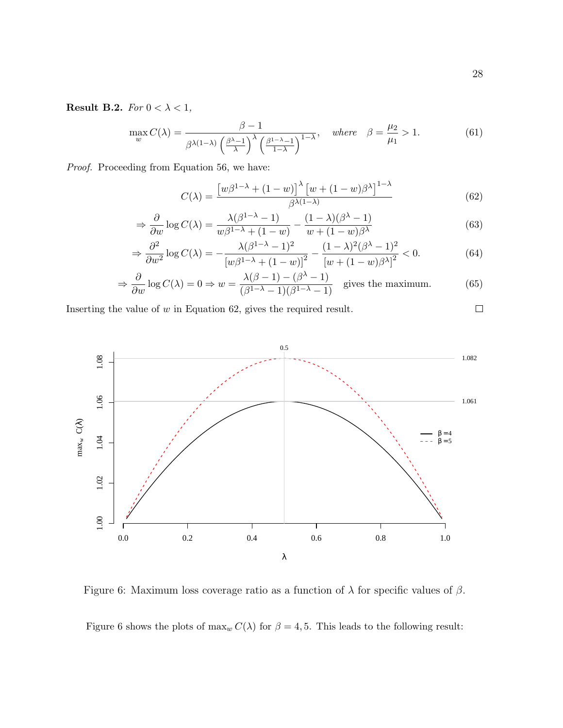Result B.2.  $For 0 < \lambda < 1$ ,

$$
\max_{w} C(\lambda) = \frac{\beta - 1}{\beta^{\lambda(1 - \lambda)} \left(\frac{\beta^{\lambda} - 1}{\lambda}\right)^{\lambda} \left(\frac{\beta^{1 - \lambda} - 1}{1 - \lambda}\right)^{1 - \lambda}}, \quad \text{where} \quad \beta = \frac{\mu_2}{\mu_1} > 1. \tag{61}
$$

Proof. Proceeding from Equation 56, we have:

$$
C(\lambda) = \frac{\left[w\beta^{1-\lambda} + (1-w)\right]^{\lambda} \left[w + (1-w)\beta^{\lambda}\right]^{1-\lambda}}{\beta^{\lambda(1-\lambda)}}
$$
(62)

$$
\Rightarrow \frac{\partial}{\partial w} \log C(\lambda) = \frac{\lambda(\beta^{1-\lambda} - 1)}{w\beta^{1-\lambda} + (1 - w)} - \frac{(1 - \lambda)(\beta^{\lambda} - 1)}{w + (1 - w)\beta^{\lambda}}
$$
(63)

$$
\Rightarrow \frac{\partial^2}{\partial w^2} \log C(\lambda) = -\frac{\lambda (\beta^{1-\lambda} - 1)^2}{\left[w\beta^{1-\lambda} + (1-w)\right]^2} - \frac{(1-\lambda)^2 (\beta^{\lambda} - 1)^2}{\left[w + (1-w)\beta^{\lambda}\right]^2} < 0. \tag{64}
$$

$$
\Rightarrow \frac{\partial}{\partial w} \log C(\lambda) = 0 \Rightarrow w = \frac{\lambda(\beta - 1) - (\beta^{\lambda} - 1)}{(\beta^{1 - \lambda} - 1)(\beta^{1 - \lambda} - 1)} \quad \text{gives the maximum.} \tag{65}
$$

Inserting the value of  $w$  in Equation 62, gives the required result.



Figure 6: Maximum loss coverage ratio as a function of  $\lambda$  for specific values of  $\beta$ .

Figure 6 shows the plots of  $\max_{w} C(\lambda)$  for  $\beta = 4, 5$ . This leads to the following result:

 $\Box$